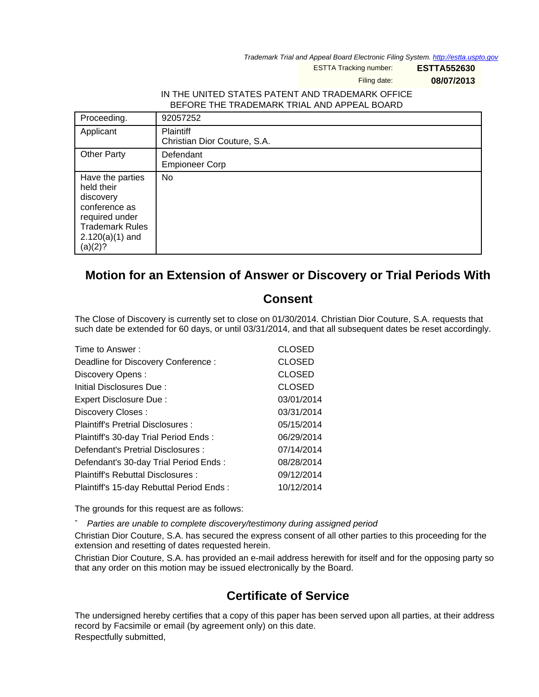Trademark Trial and Appeal Board Electronic Filing System. <http://estta.uspto.gov>

ESTTA Tracking number: **ESTTA552630**

Filing date: **08/07/2013**

## IN THE UNITED STATES PATENT AND TRADEMARK OFFICE BEFORE THE TRADEMARK TRIAL AND APPEAL BOARD

| Proceeding.                                                                                                                              | 92057252                                         |
|------------------------------------------------------------------------------------------------------------------------------------------|--------------------------------------------------|
| Applicant                                                                                                                                | <b>Plaintiff</b><br>Christian Dior Couture, S.A. |
| <b>Other Party</b>                                                                                                                       | Defendant<br><b>Empioneer Corp</b>               |
| Have the parties<br>held their<br>discovery<br>conference as<br>required under<br><b>Trademark Rules</b><br>$2.120(a)(1)$ and<br>(a)(2)? | No                                               |

## **Motion for an Extension of Answer or Discovery or Trial Periods With**

## **Consent**

The Close of Discovery is currently set to close on 01/30/2014. Christian Dior Couture, S.A. requests that such date be extended for 60 days, or until 03/31/2014, and that all subsequent dates be reset accordingly.

| Time to Answer:                          | <b>CLOSED</b> |
|------------------------------------------|---------------|
| Deadline for Discovery Conference:       | <b>CLOSED</b> |
| Discovery Opens:                         | <b>CLOSED</b> |
| Initial Disclosures Due:                 | <b>CLOSED</b> |
| Expert Disclosure Due:                   | 03/01/2014    |
| Discovery Closes:                        | 03/31/2014    |
| Plaintiff's Pretrial Disclosures:        | 05/15/2014    |
| Plaintiff's 30-day Trial Period Ends:    | 06/29/2014    |
| Defendant's Pretrial Disclosures :       | 07/14/2014    |
| Defendant's 30-day Trial Period Ends:    | 08/28/2014    |
| Plaintiff's Rebuttal Disclosures:        | 09/12/2014    |
| Plaintiff's 15-day Rebuttal Period Ends: | 10/12/2014    |

The grounds for this request are as follows:

Parties are unable to complete discovery/testimony during assigned period

Christian Dior Couture, S.A. has secured the express consent of all other parties to this proceeding for the extension and resetting of dates requested herein.

Christian Dior Couture, S.A. has provided an e-mail address herewith for itself and for the opposing party so that any order on this motion may be issued electronically by the Board.

## **Certificate of Service**

The undersigned hereby certifies that a copy of this paper has been served upon all parties, at their address record by Facsimile or email (by agreement only) on this date. Respectfully submitted,